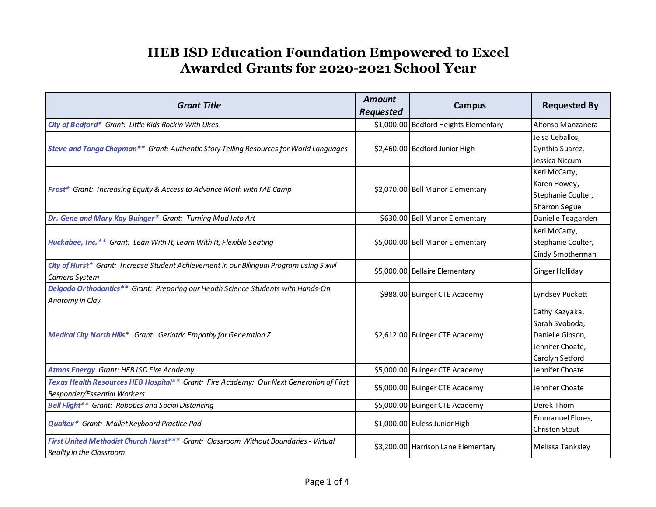| <b>Grant Title</b>                                                                                                     | <b>Amount</b><br><b>Requested</b> | <b>Campus</b>                         | <b>Requested By</b>                                                                         |
|------------------------------------------------------------------------------------------------------------------------|-----------------------------------|---------------------------------------|---------------------------------------------------------------------------------------------|
| City of Bedford* Grant: Little Kids Rockin With Ukes                                                                   |                                   | \$1,000.00 Bedford Heights Elementary | Alfonso Manzanera                                                                           |
| Steve and Tanga Chapman** Grant: Authentic Story Telling Resources for World Languages                                 |                                   | \$2,460.00 Bedford Junior High        | Jeisa Ceballos,<br>Cynthia Suarez,                                                          |
|                                                                                                                        |                                   |                                       | Jessica Niccum                                                                              |
| Frost* Grant: Increasing Equity & Access to Advance Math with ME Camp                                                  |                                   | \$2,070.00 Bell Manor Elementary      | Keri McCarty,<br>Karen Howey,<br>Stephanie Coulter,<br><b>Sharron Segue</b>                 |
| Dr. Gene and Mary Kay Buinger* Grant: Turning Mud Into Art                                                             |                                   | \$630.00 Bell Manor Elementary        | Danielle Teagarden                                                                          |
| Huckabee, Inc.** Grant: Lean With It, Learn With It, Flexible Seating                                                  |                                   | \$5,000.00 Bell Manor Elementary      | Keri McCarty,<br>Stephanie Coulter,<br>Cindy Smotherman                                     |
| City of Hurst* Grant: Increase Student Achievement in our Bilingual Program using Swivl<br>Camera System               |                                   | \$5,000.00 Bellaire Elementary        | Ginger Holliday                                                                             |
| Delgado Orthodontics** Grant: Preparing our Health Science Students with Hands-On<br>Anatomy in Clay                   |                                   | \$988.00 Buinger CTE Academy          | Lyndsey Puckett                                                                             |
| Medical City North Hills* Grant: Geriatric Empathy for Generation Z                                                    |                                   | \$2,612.00 Buinger CTE Academy        | Cathy Kazyaka,<br>Sarah Svoboda,<br>Danielle Gibson,<br>Jennifer Choate,<br>Carolyn Setford |
| <b>Atmos Energy Grant: HEB ISD Fire Academy</b>                                                                        |                                   | \$5,000.00 Buinger CTE Academy        | Jennifer Choate                                                                             |
| Texas Health Resources HEB Hospital** Grant: Fire Academy: Our Next Generation of First<br>Responder/Essential Workers |                                   | \$5,000.00 Buinger CTE Academy        | Jennifer Choate                                                                             |
| <b>Bell Flight** Grant: Robotics and Social Distancing</b>                                                             |                                   | \$5,000.00 Buinger CTE Academy        | Derek Thorn                                                                                 |
| <b>Qualtex*</b> Grant: Mallet Keyboard Practice Pad                                                                    |                                   | \$1,000.00 Euless Junior High         | Emmanuel Flores,<br><b>Christen Stout</b>                                                   |
| First United Methodist Church Hurst*** Grant: Classroom Without Boundaries - Virtual<br>Reality in the Classroom       |                                   | \$3,200.00 Harrison Lane Elementary   | Melissa Tanksley                                                                            |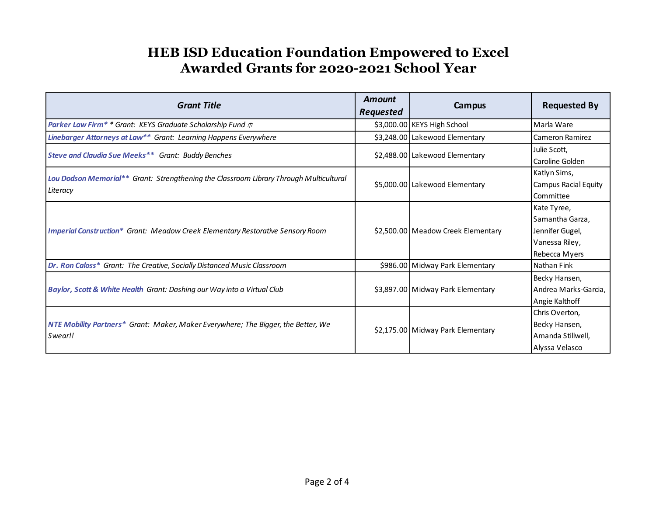| <b>Grant Title</b>                                                                                 | Amount<br><b>Requested</b> | Campus                             | <b>Requested By</b>                                                                  |
|----------------------------------------------------------------------------------------------------|----------------------------|------------------------------------|--------------------------------------------------------------------------------------|
| <b>Parker Law Firm* * Grant: KEYS Graduate Scholarship Fund <math>\psi</math></b>                  |                            | \$3,000.00 KEYS High School        | Marla Ware                                                                           |
| Linebarger Attorneys at Law** Grant: Learning Happens Everywhere                                   |                            | \$3,248.00 Lakewood Elementary     | Cameron Ramirez                                                                      |
| Steve and Claudia Sue Meeks** Grant: Buddy Benches                                                 |                            | \$2,488.00 Lakewood Elementary     | Julie Scott,<br>Caroline Golden                                                      |
| Lou Dodson Memorial** Grant: Strengthening the Classroom Library Through Multicultural<br>Literacy |                            | \$5,000.00 Lakewood Elementary     | Katlyn Sims,<br>Campus Racial Equity<br>Committee                                    |
| <b>Imperial Construction* Grant: Meadow Creek Elementary Restorative Sensory Room</b>              |                            | \$2,500.00 Meadow Creek Elementary | Kate Tyree,<br>Samantha Garza,<br>Jennifer Gugel,<br>Vanessa Riley,<br>Rebecca Myers |
| Dr. Ron Caloss* Grant: The Creative, Socially Distanced Music Classroom                            |                            | \$986.00 Midway Park Elementary    | Nathan Fink                                                                          |
| Baylor, Scott & White Health Grant: Dashing our Way into a Virtual Club                            |                            | \$3,897.00 Midway Park Elementary  | Becky Hansen,<br>Andrea Marks-Garcia,<br>Angie Kalthoff                              |
| NTE Mobility Partners* Grant: Maker, Maker Everywhere; The Bigger, the Better, We<br>Swear!!       |                            | \$2,175.00 Midway Park Elementary  | Chris Overton.<br>Becky Hansen,<br>Amanda Stillwell,<br>Alyssa Velasco               |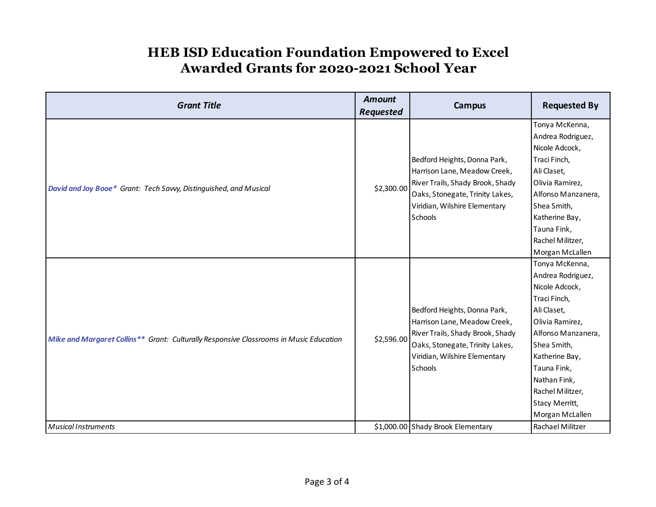| \$2,300.00<br>David and Joy Booe* Grant: Tech Savvy, Distinguished, and Musical<br>Schools<br>\$2,596.00<br>Mike and Margaret Collins** Grant: Culturally Responsive Classrooms in Music Education | <b>Campus</b>                                                                                                                                                                                             | <b>Requested By</b>                                                                                                                                                                                                                                                        |
|----------------------------------------------------------------------------------------------------------------------------------------------------------------------------------------------------|-----------------------------------------------------------------------------------------------------------------------------------------------------------------------------------------------------------|----------------------------------------------------------------------------------------------------------------------------------------------------------------------------------------------------------------------------------------------------------------------------|
|                                                                                                                                                                                                    | Bedford Heights, Donna Park,<br>Harrison Lane, Meadow Creek,<br>River Trails, Shady Brook, Shady<br>Oaks, Stonegate, Trinity Lakes,<br>Viridian, Wilshire Elementary                                      | Tonya McKenna,<br>Andrea Rodriguez,<br>Nicole Adcock,<br>Traci Finch,<br>Ali Claset,<br>Olivia Ramirez,<br>Alfonso Manzanera,<br>Shea Smith,<br>Katherine Bay,<br>Tauna Fink,<br>Rachel Militzer,<br>Morgan McLallen                                                       |
| Schools<br><b>Musical Instruments</b>                                                                                                                                                              | Bedford Heights, Donna Park,<br>Harrison Lane, Meadow Creek,<br>River Trails, Shady Brook, Shady<br>Oaks, Stonegate, Trinity Lakes,<br>Viridian, Wilshire Elementary<br>\$1,000.00 Shady Brook Elementary | Tonya McKenna,<br>Andrea Rodriguez,<br>Nicole Adcock,<br>Traci Finch,<br>Ali Claset,<br>Olivia Ramirez,<br>Alfonso Manzanera,<br>Shea Smith,<br>Katherine Bay,<br>Tauna Fink,<br>Nathan Fink,<br>Rachel Militzer,<br>Stacy Merritt,<br>Morgan McLallen<br>Rachael Militzer |